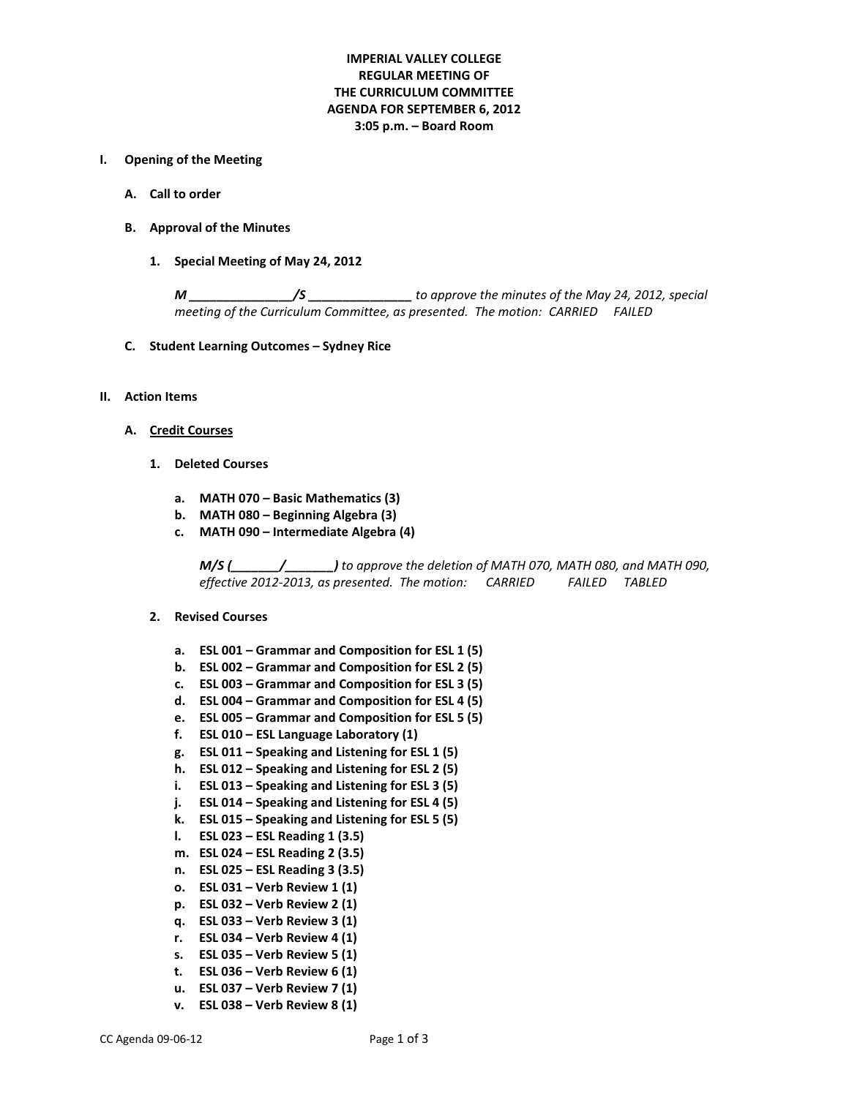## **IMPERIAL VALLEY COLLEGE REGULAR MEETING OF THE CURRICULUM COMMITTEE AGENDA FOR SEPTEMBER 6, 2012 3:05 p.m. – Board Room**

#### **I. Opening of the Meeting**

- **A. Call to order**
- **B. Approval of the Minutes**
	- **1. Special Meeting of May 24, 2012**

*M \_\_\_\_\_\_\_\_\_\_\_\_\_\_\_/S \_\_\_\_\_\_\_\_\_\_\_\_\_\_\_ to approve the minutes of the May 24, 2012, special meeting of the Curriculum Committee, as presented. The motion: CARRIED FAILED* 

**C. Student Learning Outcomes – Sydney Rice**

## **II. Action Items**

- **A. Credit Courses**
	- **1. Deleted Courses**
		- **a. MATH 070 – Basic Mathematics (3)**
		- **b. MATH 080 – Beginning Algebra (3)**
		- **c. MATH 090 – Intermediate Algebra (4)**

*M/S (\_\_\_\_\_\_\_/\_\_\_\_\_\_\_) to approve the deletion of MATH 070, MATH 080, and MATH 090, effective 2012-2013, as presented. The motion: CARRIED FAILED TABLED*

#### **2. Revised Courses**

- **a. ESL 001 – Grammar and Composition for ESL 1 (5)**
- **b. ESL 002 – Grammar and Composition for ESL 2 (5)**
- **c. ESL 003 – Grammar and Composition for ESL 3 (5)**
- **d. ESL 004 – Grammar and Composition for ESL 4 (5)**
- **e. ESL 005 – Grammar and Composition for ESL 5 (5)**
- **f. ESL 010 – ESL Language Laboratory (1)**
- **g. ESL 011 – Speaking and Listening for ESL 1 (5)**
- **h. ESL 012 – Speaking and Listening for ESL 2 (5)**
- **i. ESL 013 – Speaking and Listening for ESL 3 (5)**
- **j. ESL 014 – Speaking and Listening for ESL 4 (5)**
- **k. ESL 015 – Speaking and Listening for ESL 5 (5)**
- **l. ESL 023 – ESL Reading 1 (3.5)**
- **m. ESL 024 – ESL Reading 2 (3.5)**
- **n. ESL 025 – ESL Reading 3 (3.5)**
- **o. ESL 031 – Verb Review 1 (1)**
- **p. ESL 032 – Verb Review 2 (1)**
- **q. ESL 033 – Verb Review 3 (1)**
- **r. ESL 034 – Verb Review 4 (1)**
- **s. ESL 035 – Verb Review 5 (1)**
- **t. ESL 036 – Verb Review 6 (1)**
- **u. ESL 037 – Verb Review 7 (1)**
- **v. ESL 038 – Verb Review 8 (1)**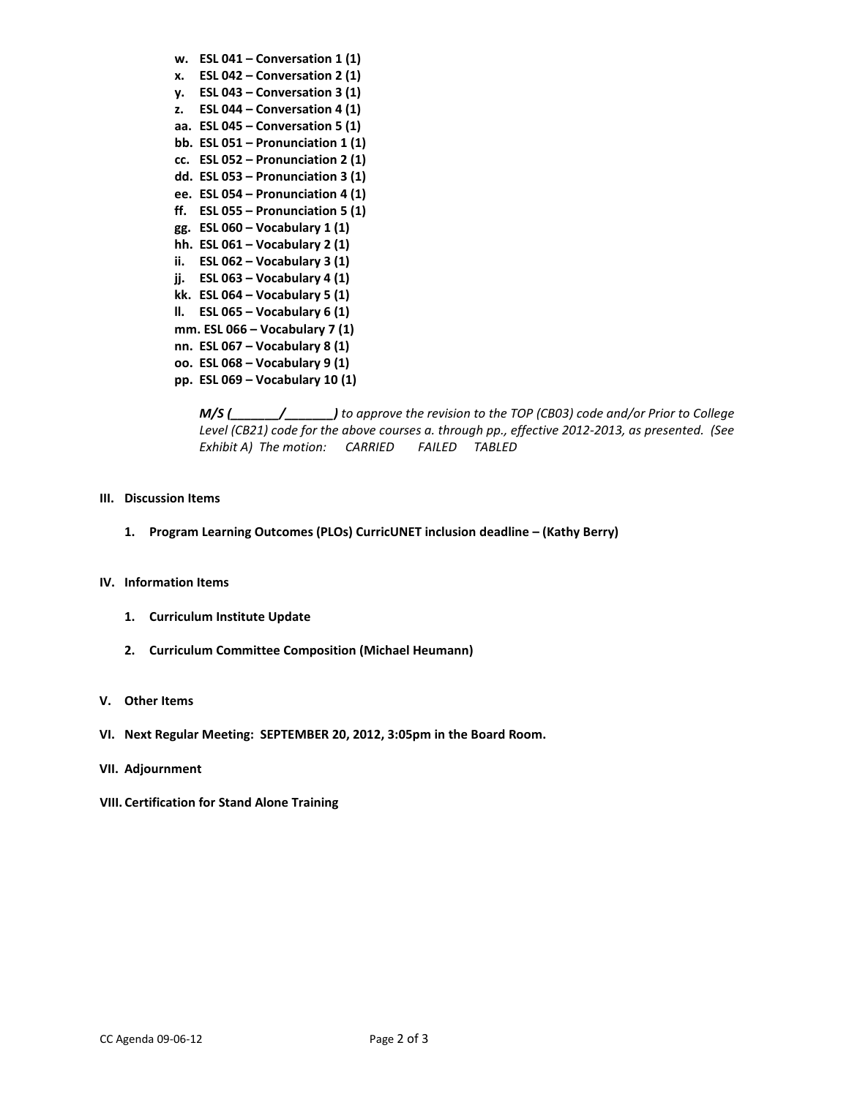**w. ESL 041 – Conversation 1 (1) x. ESL 042 – Conversation 2 (1) y. ESL 043 – Conversation 3 (1) z. ESL 044 – Conversation 4 (1) aa. ESL 045 – Conversation 5 (1) bb. ESL 051 – Pronunciation 1 (1) cc. ESL 052 – Pronunciation 2 (1) dd. ESL 053 – Pronunciation 3 (1) ee. ESL 054 – Pronunciation 4 (1) ff. ESL 055 – Pronunciation 5 (1) gg. ESL 060 – Vocabulary 1 (1) hh. ESL 061 – Vocabulary 2 (1) ii. ESL 062 – Vocabulary 3 (1) jj. ESL 063 – Vocabulary 4 (1) kk. ESL 064 – Vocabulary 5 (1) ll. ESL 065 – Vocabulary 6 (1) mm. ESL 066 – Vocabulary 7 (1) nn. ESL 067 – Vocabulary 8 (1) oo. ESL 068 – Vocabulary 9 (1) pp. ESL 069 – Vocabulary 10 (1)**

> *M/S (\_\_\_\_\_\_\_/\_\_\_\_\_\_\_) to approve the revision to the TOP (CB03) code and/or Prior to College Level (CB21) code for the above courses a. through pp., effective 2012-2013, as presented. (See Exhibit A) The motion: CARRIED FAILED TABLED*

#### **III. Discussion Items**

**1. Program Learning Outcomes (PLOs) CurricUNET inclusion deadline – (Kathy Berry)**

#### **IV. Information Items**

- **1. Curriculum Institute Update**
- **2. Curriculum Committee Composition (Michael Heumann)**

## **V. Other Items**

**VI. Next Regular Meeting: SEPTEMBER 20, 2012, 3:05pm in the Board Room.** 

## **VII. Adjournment**

**VIII. Certification for Stand Alone Training**